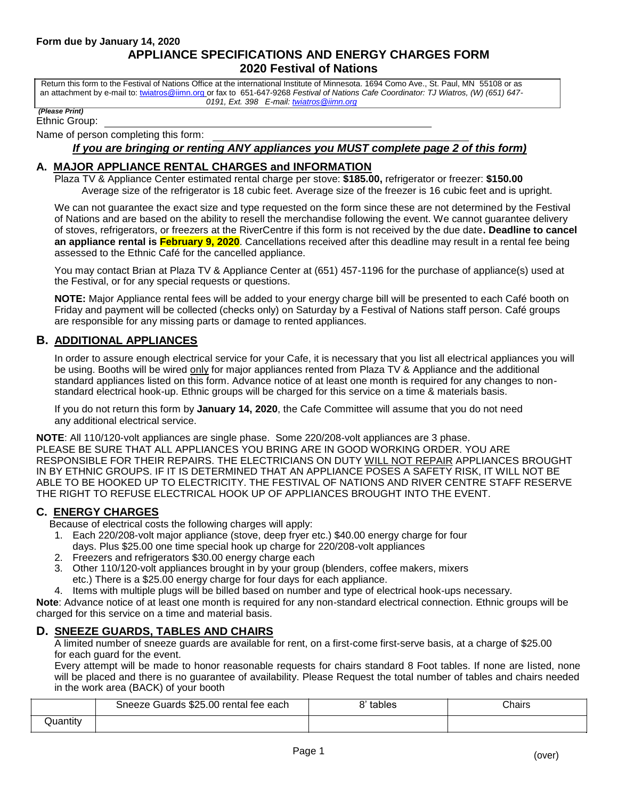Return this form to the Festival of Nations Office at the international Institute of Minnesota. 1694 Como Ave., St. Paul, MN 55108 or as an attachment by e-mail to[: twiatros@iimn.org](mailto:twiatros@iimn.org) or fax to 651-647-9268 *Festival of Nations Cafe Coordinator: TJ Wiatros, (W) (651) 647- 0191, Ext. 398 E-mail[: twiatros@iimn.org](mailto:twiatros@iimn.org)*

#### *(Please Print)*

Ethnic Group:

Name of person completing this form:

#### *If you are bringing or renting ANY appliances you MUST complete page 2 of this form)*

### **A. MAJOR APPLIANCE RENTAL CHARGES and INFORMATION**

Plaza TV & Appliance Center estimated rental charge per stove: **\$185.00,** refrigerator or freezer: **\$150.00** Average size of the refrigerator is 18 cubic feet. Average size of the freezer is 16 cubic feet and is upright.

We can not guarantee the exact size and type requested on the form since these are not determined by the Festival of Nations and are based on the ability to resell the merchandise following the event. We cannot guarantee delivery of stoves, refrigerators, or freezers at the RiverCentre if this form is not received by the due date**. Deadline to cancel an appliance rental is February 9, 2020**. Cancellations received after this deadline may result in a rental fee being assessed to the Ethnic Café for the cancelled appliance.

You may contact Brian at Plaza TV & Appliance Center at (651) 457-1196 for the purchase of appliance(s) used at the Festival, or for any special requests or questions.

**NOTE:** Major Appliance rental fees will be added to your energy charge bill will be presented to each Café booth on Friday and payment will be collected (checks only) on Saturday by a Festival of Nations staff person. Café groups are responsible for any missing parts or damage to rented appliances.

# **B. ADDITIONAL APPLIANCES**

In order to assure enough electrical service for your Cafe, it is necessary that you list all electrical appliances you will be using. Booths will be wired only for major appliances rented from Plaza TV & Appliance and the additional standard appliances listed on this form. Advance notice of at least one month is required for any changes to nonstandard electrical hook-up. Ethnic groups will be charged for this service on a time & materials basis.

If you do not return this form by **January 14, 2020**, the Cafe Committee will assume that you do not need any additional electrical service.

**NOTE**: All 110/120-volt appliances are single phase. Some 220/208-volt appliances are 3 phase. PLEASE BE SURE THAT ALL APPLIANCES YOU BRING ARE IN GOOD WORKING ORDER. YOU ARE RESPONSIBLE FOR THEIR REPAIRS. THE ELECTRICIANS ON DUTY WILL NOT REPAIR APPLIANCES BROUGHT IN BY ETHNIC GROUPS. IF IT IS DETERMINED THAT AN APPLIANCE POSES A SAFETY RISK, IT WILL NOT BE ABLE TO BE HOOKED UP TO ELECTRICITY. THE FESTIVAL OF NATIONS AND RIVER CENTRE STAFF RESERVE THE RIGHT TO REFUSE ELECTRICAL HOOK UP OF APPLIANCES BROUGHT INTO THE EVENT.

# **C. ENERGY CHARGES**

Because of electrical costs the following charges will apply:

- 1. Each 220/208-volt major appliance (stove, deep fryer etc.) \$40.00 energy charge for four days. Plus \$25.00 one time special hook up charge for 220/208-volt appliances
- 2. Freezers and refrigerators \$30.00 energy charge each
- 3. Other 110/120-volt appliances brought in by your group (blenders, coffee makers, mixers etc.) There is a \$25.00 energy charge for four days for each appliance.
- 4. Items with multiple plugs will be billed based on number and type of electrical hook-ups necessary.

**Note**: Advance notice of at least one month is required for any non-standard electrical connection. Ethnic groups will be charged for this service on a time and material basis.

#### **D. SNEEZE GUARDS, TABLES AND CHAIRS**

A limited number of sneeze guards are available for rent, on a first-come first-serve basis, at a charge of \$25.00 for each guard for the event.

Every attempt will be made to honor reasonable requests for chairs standard 8 Foot tables. If none are listed, none will be placed and there is no guarantee of availability. Please Request the total number of tables and chairs needed in the work area (BACK) of your booth

|                 | Sneeze Guards \$25.00 rental fee each | tables | Chairs |
|-----------------|---------------------------------------|--------|--------|
| <b>Juantity</b> |                                       |        |        |